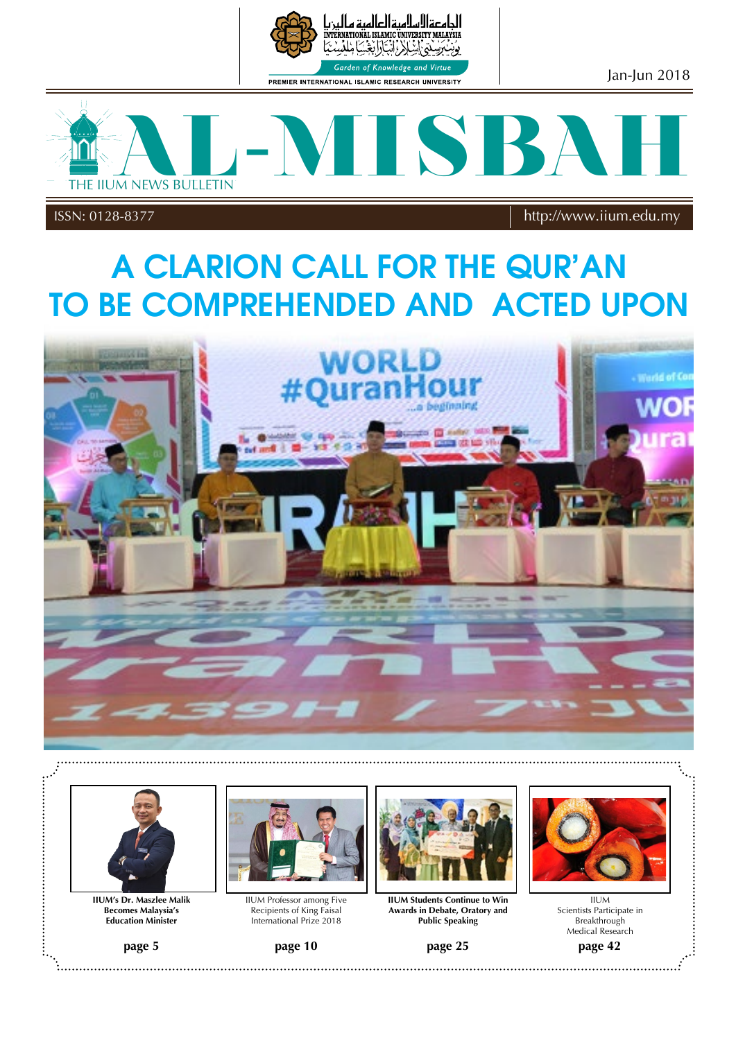

الحامعةالاسلاميةالعالمية ه INTERNATIONAL ISLAMIC UNIVERSITY MALAYSIA أأنتكأألغة نەس Garden of Knowledge

PREMIER INTERNATIONAL ISLAMIC RESEARCH UNIVERSITY

Jan-Jun 2018



ISSN: 0128-8377 IIUM NEWS BULLETIN http://www.iium.edu.my ISSN: 0128-8377 http://www.iium.edu.my

## A CLARION CALL FOR THE QUR'AN **TO BE COMPREHENDED AND ACTED UPON**





**IIUM's Dr. Maszlee Malik Becomes Malaysia's Education Minister** 





IIUM Professor among Five Recipients of King Faisal International Prize 2018

page 10 STREAK CONTINUES



**IIUM Students Continue to Win Awards in Debate, Oratory and Public Speaking**

page 25  $\overline{S}$   $\overline{S}$ ,,,,,,,,, **page 5 page 10 page 25 page 42**



page 42 IIUM Scientists Participate in Breakthrough Medical Research

AND CULTURE IN IIUM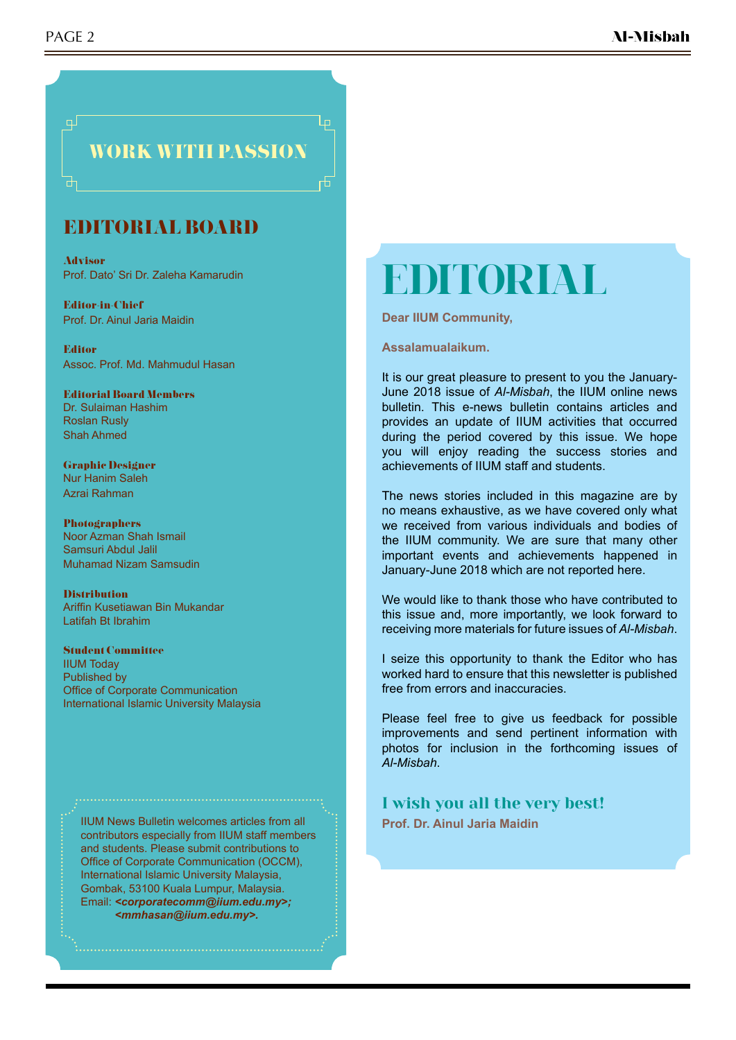

### EDITORIAL BOARD

Advisor Prof. Dato' Sri Dr. Zaleha Kamarudin

Editor-in-Chief Prof. Dr. Ainul Jaria Maidin

Editor Assoc. Prof. Md. Mahmudul Hasan

Editorial Board Members Dr. Sulaiman Hashim Roslan Rusly Shah Ahmed

Graphic Designer Nur Hanim Saleh Azrai Rahman

Photographers Noor Azman Shah Ismail Samsuri Abdul Jalil Muhamad Nizam Samsudin

Distribution Ariffin Kusetiawan Bin Mukandar Latifah Bt Ibrahim

Student Committee IIUM Today Published by Office of Corporate Communication International Islamic University Malaysia

IIUM News Bulletin welcomes articles from all contributors especially from IIUM staff members and students. Please submit contributions to Office of Corporate Communication (OCCM), International Islamic University Malaysia, Gombak, 53100 Kuala Lumpur, Malaysia. Email: *<corporatecomm@iium.edu.my>; <mmhasan@iium.edu.my>.*

# **EDITORIAL**

**Dear IIUM Community,** 

**Assalamualaikum.**

It is our great pleasure to present to you the January-June 2018 issue of *Al-Misbah*, the IIUM online news bulletin. This e-news bulletin contains articles and provides an update of IIUM activities that occurred during the period covered by this issue. We hope you will enjoy reading the success stories and achievements of IIUM staff and students.

The news stories included in this magazine are by no means exhaustive, as we have covered only what we received from various individuals and bodies of the IIUM community. We are sure that many other important events and achievements happened in January-June 2018 which are not reported here.

We would like to thank those who have contributed to this issue and, more importantly, we look forward to receiving more materials for future issues of *Al-Misbah*.

I seize this opportunity to thank the Editor who has worked hard to ensure that this newsletter is published free from errors and inaccuracies.

Please feel free to give us feedback for possible improvements and send pertinent information with photos for inclusion in the forthcoming issues of *Al-Misbah*.

#### I wish you all the very best!

**Prof. Dr. Ainul Jaria Maidin**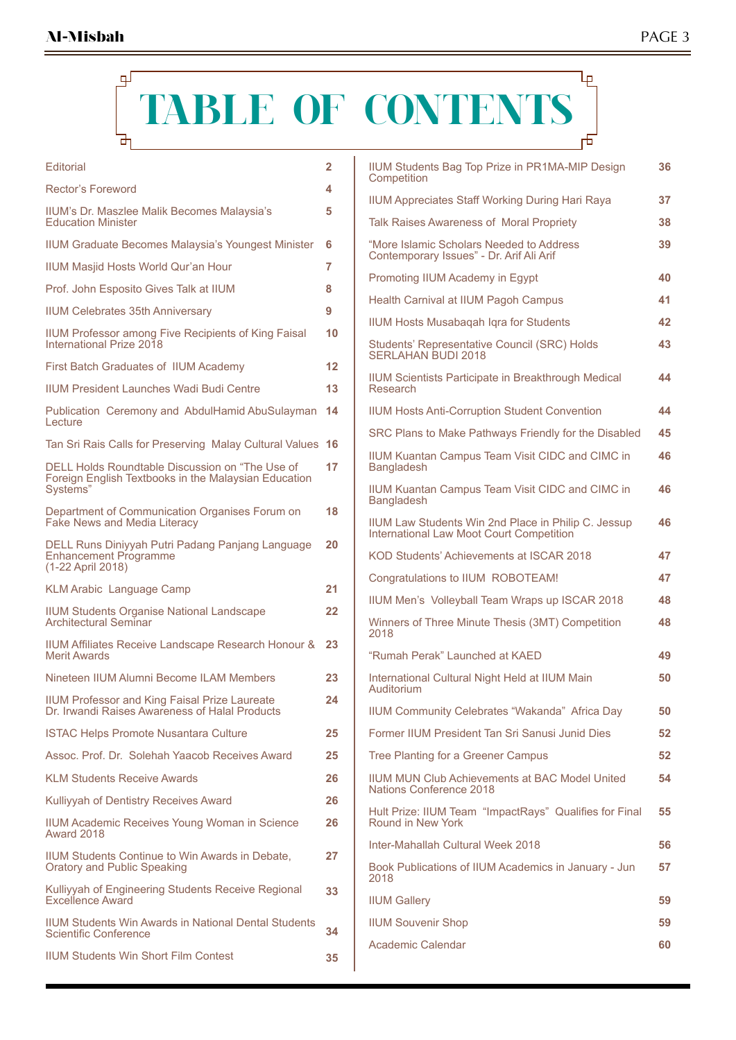### μ டி **TABLE OF CONTENTS** ᡨ 市

| Editorial                                                                                                           | 2  |
|---------------------------------------------------------------------------------------------------------------------|----|
| Rector's Foreword                                                                                                   | 4  |
| IIUM's Dr. Maszlee Malik Becomes Malaysia's<br><b>Education Minister</b>                                            | 5  |
| <b>IIUM Graduate Becomes Malaysia's Youngest Minister</b>                                                           | 6  |
| <b>IIUM Masjid Hosts World Qur'an Hour</b>                                                                          | 7  |
| Prof. John Esposito Gives Talk at IIUM                                                                              | 8  |
| <b>IIUM Celebrates 35th Anniversary</b>                                                                             | 9  |
| IIUM Professor among Five Recipients of King Faisal<br>International Prize 2018                                     | 10 |
| First Batch Graduates of IIUM Academy                                                                               | 12 |
| <b>IIUM President Launches Wadi Budi Centre</b>                                                                     | 13 |
| Publication Ceremony and AbdulHamid AbuSulayman<br><b>Lecture</b>                                                   | 14 |
| Tan Sri Rais Calls for Preserving Malay Cultural Values                                                             | 16 |
| DELL Holds Roundtable Discussion on "The Use of<br>Foreign English Textbooks in the Malaysian Education<br>Systems" | 17 |
| Department of Communication Organises Forum on<br>Fake News and Media Literacy                                      | 18 |
| DELL Runs Diniyyah Putri Padang Panjang Language<br><b>Enhancement Programme</b><br>(1-22 April 2018)               | 20 |
| <b>KLM Arabic Language Camp</b>                                                                                     | 21 |
| <b>IIUM Students Organise National Landscape</b><br>Architectural Seminar                                           | 22 |
| IIUM Affiliates Receive Landscape Research Honour &<br><b>Merit Awards</b>                                          | 23 |
| Nineteen IIUM Alumni Become ILAM Members                                                                            | 23 |
| <b>IIUM Professor and King Faisal Prize Laureate</b><br>Dr. Irwandi Raises Awareness of Halal Products              | 24 |
| <b>ISTAC Helps Promote Nusantara Culture</b>                                                                        | 25 |
| Assoc. Prof. Dr. Solehah Yaacob Receives Award                                                                      | 25 |
| <b>KLM Students Receive Awards</b>                                                                                  | 26 |
| Kulliyyah of Dentistry Receives Award                                                                               | 26 |
| IIUM Academic Receives Young Woman in Science<br>Award 2018                                                         | 26 |
| IIUM Students Continue to Win Awards in Debate,<br>Oratory and Public Speaking                                      | 27 |
| Kulliyyah of Engineering Students Receive Regional<br><b>Excellence Award</b>                                       | 33 |
| <b>IIUM Students Win Awards in National Dental Students</b><br>Scientific Conference                                | 34 |
| <b>IIUM Students Win Short Film Contest</b>                                                                         | 35 |

| <b>IIUM Students Bag Top Prize in PR1MA-MIP Design</b><br>Competition                           | 36 |
|-------------------------------------------------------------------------------------------------|----|
| <b>IIUM Appreciates Staff Working During Hari Raya</b>                                          | 37 |
| <b>Talk Raises Awareness of Moral Propriety</b>                                                 | 38 |
| "More Islamic Scholars Needed to Address<br>Contemporary Issues" - Dr. Arif Ali Arif            | 39 |
| Promoting IIUM Academy in Egypt                                                                 | 40 |
| Health Carnival at IIUM Pagoh Campus                                                            | 41 |
| <b>IIUM Hosts Musabagah Igra for Students</b>                                                   | 42 |
| Students' Representative Council (SRC) Holds<br><b>SERLAHAN BUDI 2018</b>                       | 43 |
| IIUM Scientists Participate in Breakthrough Medical<br>Research                                 | 44 |
| <b>IIUM Hosts Anti-Corruption Student Convention</b>                                            | 44 |
| SRC Plans to Make Pathways Friendly for the Disabled                                            | 45 |
| <b>IIUM Kuantan Campus Team Visit CIDC and CIMC in</b><br><b>Bangladesh</b>                     | 46 |
| IIUM Kuantan Campus Team Visit CIDC and CIMC in<br><b>Bangladesh</b>                            | 46 |
| IIUM Law Students Win 2nd Place in Philip C. Jessup<br>International Law Moot Court Competition | 46 |
| KOD Students' Achievements at ISCAR 2018                                                        | 47 |
| Congratulations to IIUM ROBOTEAM!                                                               | 47 |
| IIUM Men's Volleyball Team Wraps up ISCAR 2018                                                  | 48 |
| Winners of Three Minute Thesis (3MT) Competition<br>2018                                        | 48 |
| "Rumah Perak" I aunched at KAFD                                                                 | 49 |
| International Cultural Night Held at IIUM Main<br>Auditorium                                    | 50 |
| IIUM Community Celebrates "Wakanda" Africa Day                                                  | 50 |
| Former IIUM President Tan Sri Sanusi Junid Dies                                                 | 52 |
| Tree Planting for a Greener Campus                                                              | 52 |
| <b>IIUM MUN Club Achievements at BAC Model United</b><br>Nations Conference 2018                | 54 |
| Hult Prize: IIUM Team "ImpactRays" Qualifies for Final<br>Round in New York                     | 55 |
| Inter-Mahallah Cultural Week 2018                                                               | 56 |
| Book Publications of IIUM Academics in January - Jun<br>2018                                    | 57 |
| <b>IIUM Gallery</b>                                                                             | 59 |
| <b>IIUM Souvenir Shop</b>                                                                       | 59 |
| Academic Calendar                                                                               | 60 |